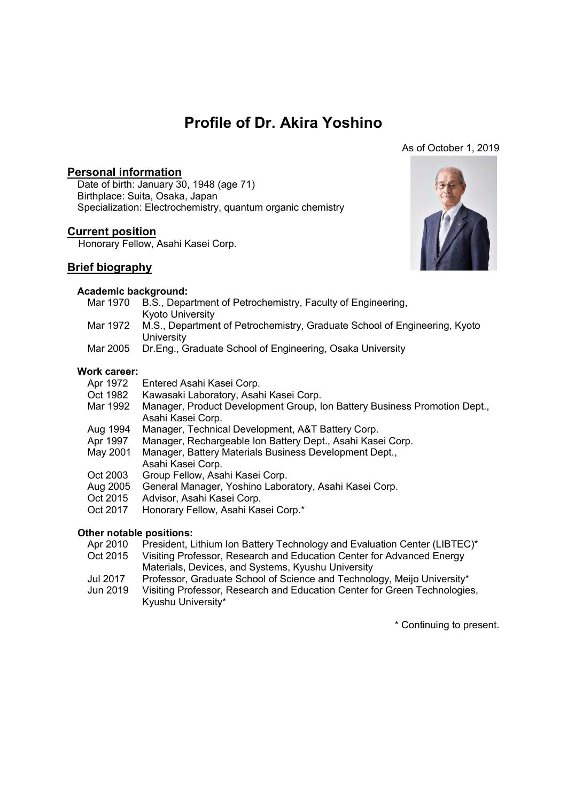# **Profile of Dr. Akira Yoshino**

#### As of October 1, 2019

# **Personal information**

Date of birth: January 30, 1948 (age 71) Birthplace: Suita, Osaka, Japan Specialization: Electrochemistry, quantum organic chemistry

# **Current position**

Honorary Fellow, Asahi Kasei Corp.

## **Brief biography**

### **Academic background:**

- Mar 1970 B.S., Department of Petrochemistry, Faculty of Engineering, Kyoto University
- Mar 1972 M.S., Department of Petrochemistry, Graduate School of Engineering, Kyoto **University**
- Mar 2005 Dr.Eng., Graduate School of Engineering, Osaka University

# **Work career:**

- Apr 1972 Entered Asahi Kasei Corp.<br>Oct 1982 Kawasaki Laboratory. Asal
- Kawasaki Laboratory, Asahi Kasei Corp.
- Mar 1992 Manager, Product Development Group, Ion Battery Business Promotion Dept., Asahi Kasei Corp.
- Aug 1994 Manager, Technical Development, A&T Battery Corp.
- Apr 1997 Manager, Rechargeable Ion Battery Dept., Asahi Kasei Corp.
- May 2001 Manager, Battery Materials Business Development Dept., Asahi Kasei Corp.
- Oct 2003 Group Fellow, Asahi Kasei Corp.
- Aug 2005 General Manager, Yoshino Laboratory, Asahi Kasei Corp.
- Oct 2015 Advisor, Asahi Kasei Corp.
- Oct 2017 Honorary Fellow, Asahi Kasei Corp.\*

#### **Other notable positions:**

- Apr 2010 President, Lithium Ion Battery Technology and Evaluation Center (LIBTEC)<sup>\*</sup>
- Oct 2015 Visiting Professor, Research and Education Center for Advanced Energy Materials, Devices, and Systems, Kyushu University
- Jul 2017 Professor, Graduate School of Science and Technology, Meijo University\*
- Jun 2019 Visiting Professor, Research and Education Center for Green Technologies, Kyushu University\*

\* Continuing to present.